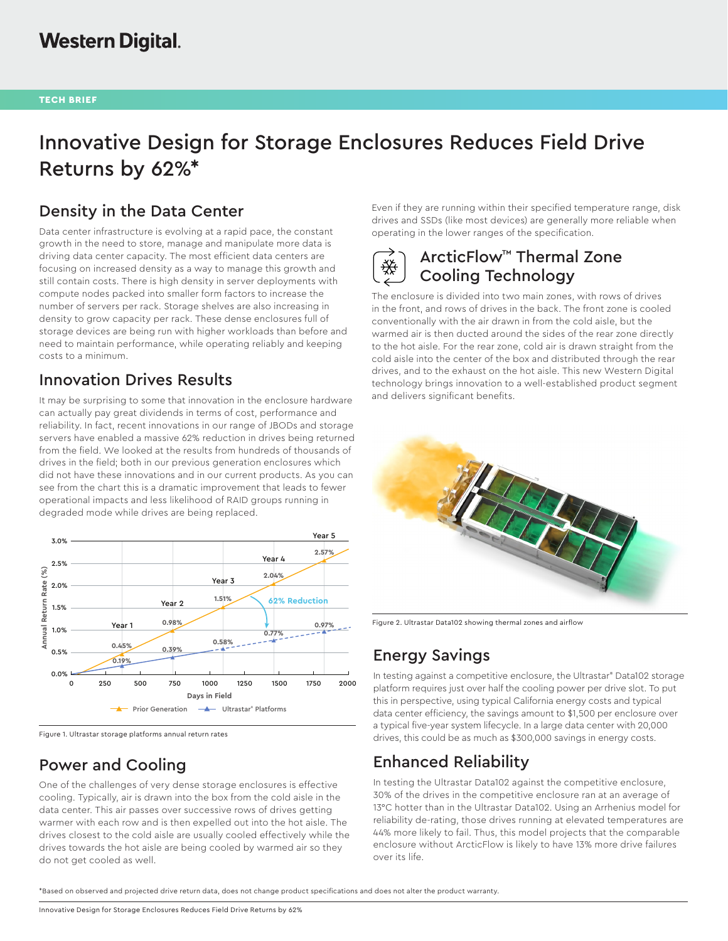# Innovative Design for Storage Enclosures Reduces Field Drive Returns by 62%\*

# Density in the Data Center

Data center infrastructure is evolving at a rapid pace, the constant growth in the need to store, manage and manipulate more data is driving data center capacity. The most efficient data centers are focusing on increased density as a way to manage this growth and still contain costs. There is high density in server deployments with compute nodes packed into smaller form factors to increase the number of servers per rack. Storage shelves are also increasing in density to grow capacity per rack. These dense enclosures full of storage devices are being run with higher workloads than before and need to maintain performance, while operating reliably and keeping costs to a minimum.

#### Innovation Drives Results

It may be surprising to some that innovation in the enclosure hardware can actually pay great dividends in terms of cost, performance and reliability. In fact, recent innovations in our range of JBODs and storage servers have enabled a massive 62% reduction in drives being returned from the field. We looked at the results from hundreds of thousands of drives in the field; both in our previous generation enclosures which did not have these innovations and in our current products. As you can see from the chart this is a dramatic improvement that leads to fewer operational impacts and less likelihood of RAID groups running in degraded mode while drives are being replaced.



Figure 1. Ultrastar storage platforms annual return rates

# Power and Cooling

One of the challenges of very dense storage enclosures is effective cooling. Typically, air is drawn into the box from the cold aisle in the data center. This air passes over successive rows of drives getting warmer with each row and is then expelled out into the hot aisle. The drives closest to the cold aisle are usually cooled effectively while the drives towards the hot aisle are being cooled by warmed air so they do not get cooled as well.

Even if they are running within their specified temperature range, disk drives and SSDs (like most devices) are generally more reliable when operating in the lower ranges of the specification.

# ArcticFlow™ Thermal Zone Cooling Technology

The enclosure is divided into two main zones, with rows of drives in the front, and rows of drives in the back. The front zone is cooled conventionally with the air drawn in from the cold aisle, but the warmed air is then ducted around the sides of the rear zone directly to the hot aisle. For the rear zone, cold air is drawn straight from the cold aisle into the center of the box and distributed through the rear drives, and to the exhaust on the hot aisle. This new Western Digital technology brings innovation to a well-established product segment and delivers significant benefits.



Figure 2. Ultrastar Data102 showing thermal zones and airflow

# Energy Savings

In testing against a competitive enclosure, the Ultrastar® Data102 storage platform requires just over half the cooling power per drive slot. To put this in perspective, using typical California energy costs and typical data center efficiency, the savings amount to \$1,500 per enclosure over a typical five-year system lifecycle. In a large data center with 20,000 drives, this could be as much as \$300,000 savings in energy costs.

# Enhanced Reliability

In testing the Ultrastar Data102 against the competitive enclosure, 30% of the drives in the competitive enclosure ran at an average of 13°C hotter than in the Ultrastar Data102. Using an Arrhenius model for reliability de-rating, those drives running at elevated temperatures are 44% more likely to fail. Thus, this model projects that the comparable enclosure without ArcticFlow is likely to have 13% more drive failures over its life.

\*Based on observed and projected drive return data, does not change product specifications and does not alter the product warranty.